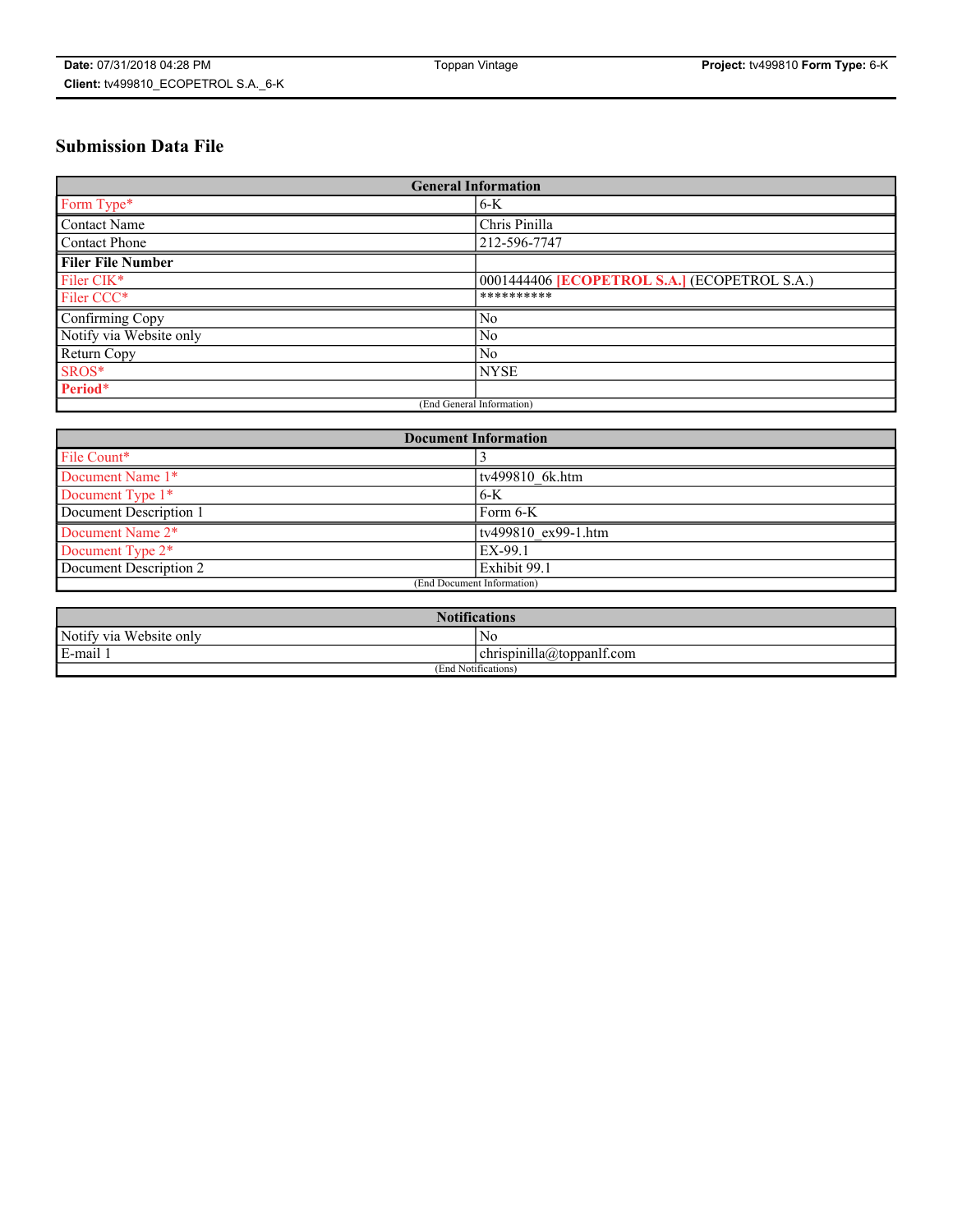# **Submission Data File**

| <b>General Information</b> |                                                   |
|----------------------------|---------------------------------------------------|
| Form Type*                 | $6 - K$                                           |
| Contact Name               | Chris Pinilla                                     |
| <b>Contact Phone</b>       | 212-596-7747                                      |
| <b>Filer File Number</b>   |                                                   |
| Filer CIK <sup>*</sup>     | 0001444406 <b>ECOPETROL S.A.</b> (ECOPETROL S.A.) |
| Filer CCC <sup>*</sup>     | **********                                        |
| Confirming Copy            | No                                                |
| Notify via Website only    | N <sub>0</sub>                                    |
| Return Copy                | N <sub>0</sub>                                    |
| SROS*                      | <b>NYSE</b>                                       |
| Period*                    |                                                   |
| (End General Information)  |                                                   |

| <b>Document Information</b> |                     |
|-----------------------------|---------------------|
| File Count*                 |                     |
| Document Name 1*            | tv499810 6k.htm     |
| Document Type 1*            | $6-K$               |
| Document Description 1      | Form 6-K            |
| Document Name 2*            | tv499810 ex99-1.htm |
| Document Type 2*            | EX-99.1             |
| Document Description 2      | Exhibit 99.1        |
| (End Document Information)  |                     |

| <b>Notifications</b>       |                                 |  |
|----------------------------|---------------------------------|--|
| Notify via<br>Website only | N <sub>0</sub>                  |  |
| $E$ -mail 1                | <br>chrispinilla(a)toppanif.com |  |
| (End Notifications)        |                                 |  |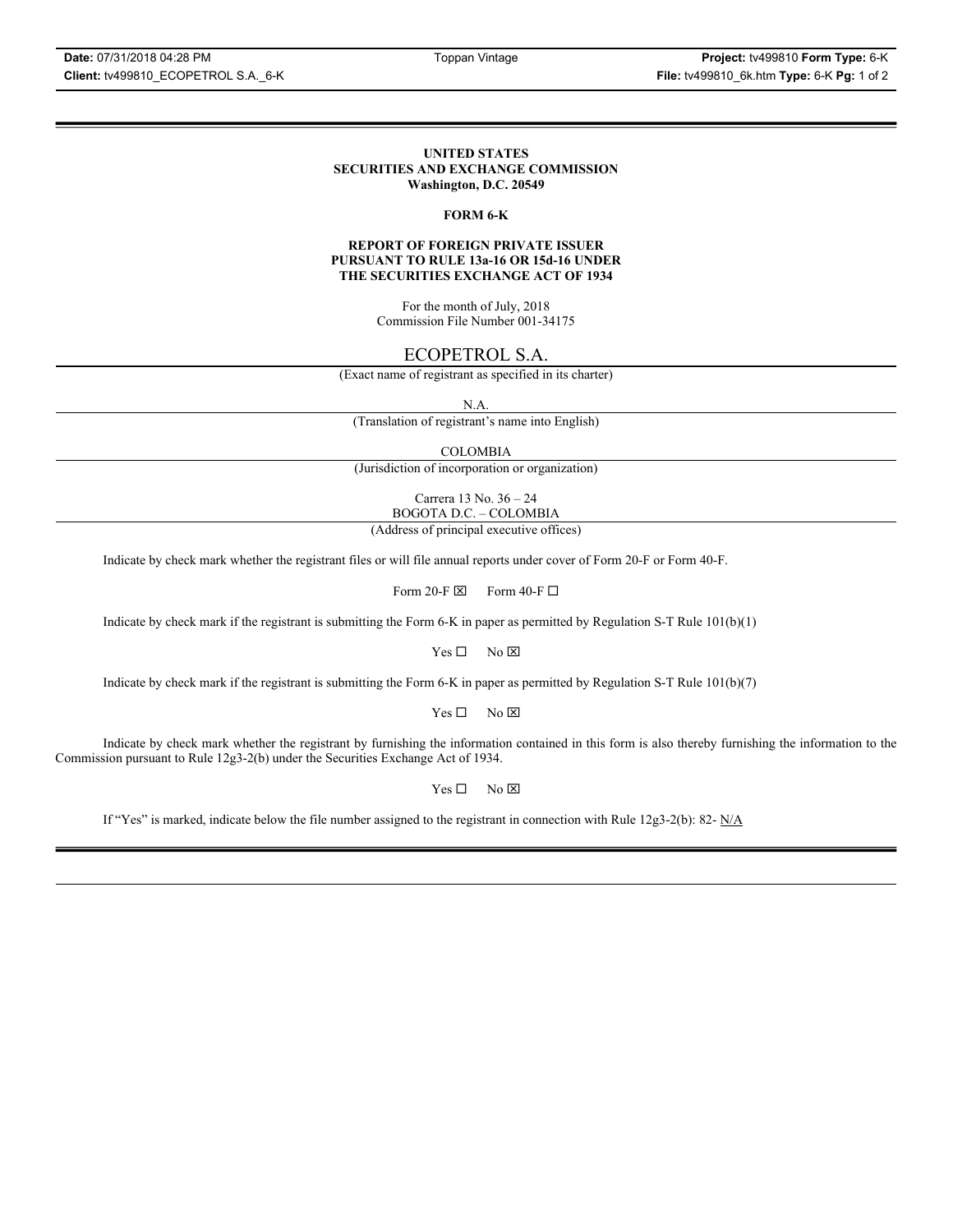### **UNITED STATES SECURITIES AND EXCHANGE COMMISSION Washington, D.C. 20549**

### **FORM 6-K**

### **REPORT OF FOREIGN PRIVATE ISSUER PURSUANT TO RULE 13a-16 OR 15d-16 UNDER THE SECURITIES EXCHANGE ACT OF 1934**

For the month of July, 2018 Commission File Number 001-34175

# ECOPETROL S.A.

(Exact name of registrant as specified in its charter)

N.A.

(Translation of registrant's name into English)

COLOMBIA

(Jurisdiction of incorporation or organization)

Carrera 13 No. 36 – 24 BOGOTA D.C. – COLOMBIA

(Address of principal executive offices)

Indicate by check mark whether the registrant files or will file annual reports under cover of Form 20-F or Form 40-F.

Form 20-F  $\boxtimes$  Form 40-F  $\Box$ 

Indicate by check mark if the registrant is submitting the Form 6-K in paper as permitted by Regulation S-T Rule 101(b)(1)

 $Yes \Box$  No  $\boxtimes$ 

Indicate by check mark if the registrant is submitting the Form 6-K in paper as permitted by Regulation S-T Rule 101(b)(7)

 $Yes \Box$  No  $\boxtimes$ 

Indicate by check mark whether the registrant by furnishing the information contained in this form is also thereby furnishing the information to the Commission pursuant to Rule 12g3-2(b) under the Securities Exchange Act of 1934.

 $Yes \Box$  No  $\boxtimes$ 

If "Yes" is marked, indicate below the file number assigned to the registrant in connection with Rule 12g3-2(b): 82-  $N/A$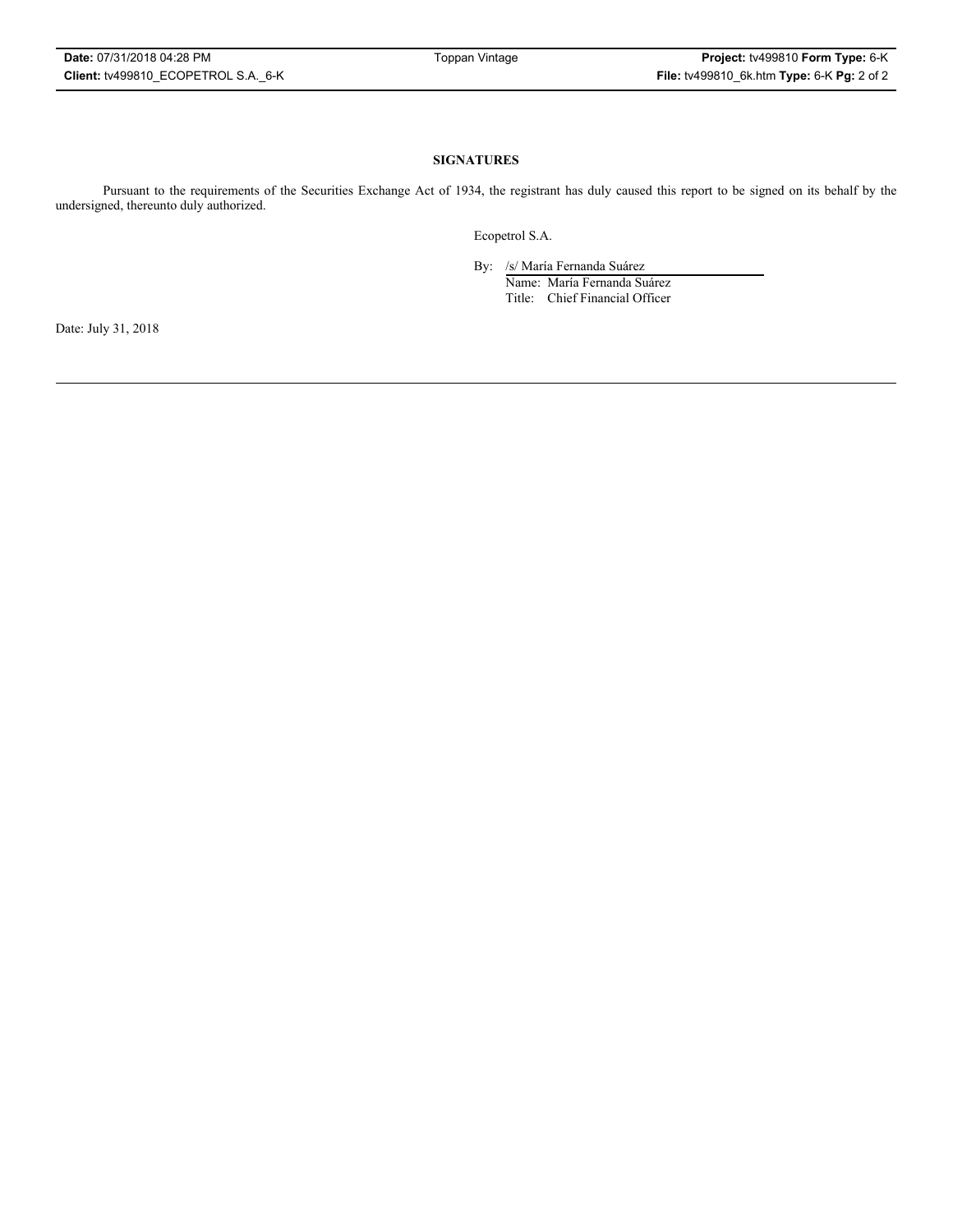## **SIGNATURES**

Pursuant to the requirements of the Securities Exchange Act of 1934, the registrant has duly caused this report to be signed on its behalf by the undersigned, thereunto duly authorized.

Ecopetrol S.A.

By: /s/ María Fernanda Suárez

Name: María Fernanda Suárez Title: Chief Financial Officer

Date: July 31, 2018